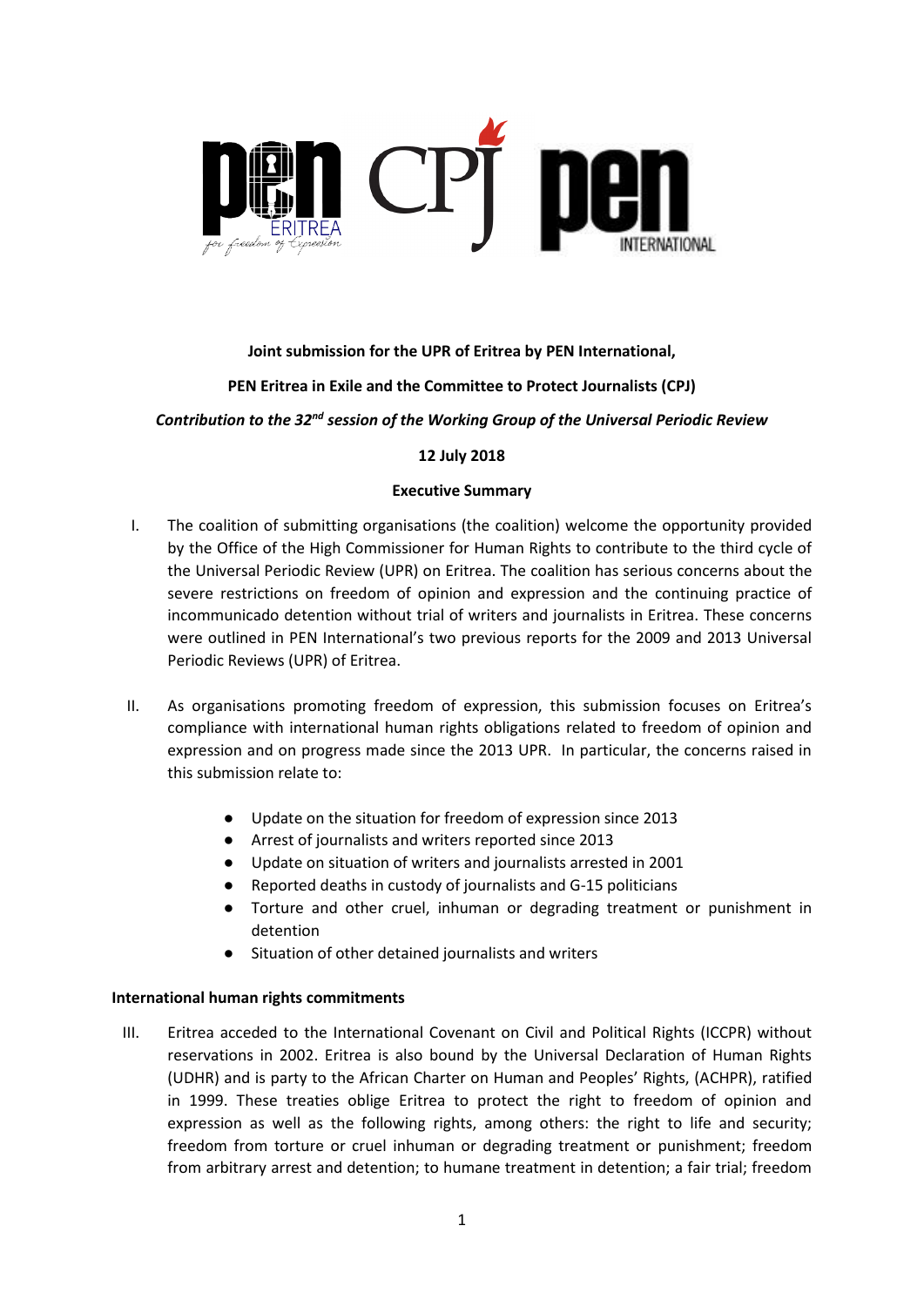

# **Joint submission for the UPR of Eritrea by PEN International,**

## **PEN Eritrea in Exile and the Committee to Protect Journalists (CPJ)**

### *Contribution to the 32nd session of the Working Group of the Universal Periodic Review*

## **12 July 2018**

## **Executive Summary**

- I. The coalition of submitting organisations (the coalition) welcome the opportunity provided by the Office of the High Commissioner for Human Rights to contribute to the third cycle of the Universal Periodic Review (UPR) on Eritrea. The coalition has serious concerns about the severe restrictions on freedom of opinion and expression and the continuing practice of incommunicado detention without trial of writers and journalists in Eritrea. These concerns were outlined in PEN International's two previous reports for the 2009 and 2013 Universal Periodic Reviews (UPR) of Eritrea.
- II. As organisations promoting freedom of expression, this submission focuses on Eritrea's compliance with international human rights obligations related to freedom of opinion and expression and on progress made since the 2013 UPR. In particular, the concerns raised in this submission relate to:
	- Update on the situation for freedom of expression since 2013
	- Arrest of journalists and writers reported since 2013
	- Update on situation of writers and journalists arrested in 2001
	- Reported deaths in custody of journalists and G-15 politicians
	- Torture and other cruel, inhuman or degrading treatment or punishment in detention
	- Situation of other detained journalists and writers

### **International human rights commitments**

III. Eritrea acceded to the International Covenant on Civil and Political Rights (ICCPR) without reservations in 2002. Eritrea is also bound by the Universal Declaration of Human Rights (UDHR) and is party to the African Charter on Human and Peoples' Rights, (ACHPR), ratified in 1999. These treaties oblige Eritrea to protect the right to freedom of opinion and expression as well as the following rights, among others: the right to life and security; freedom from torture or cruel inhuman or degrading treatment or punishment; freedom from arbitrary arrest and detention; to humane treatment in detention; a fair trial; freedom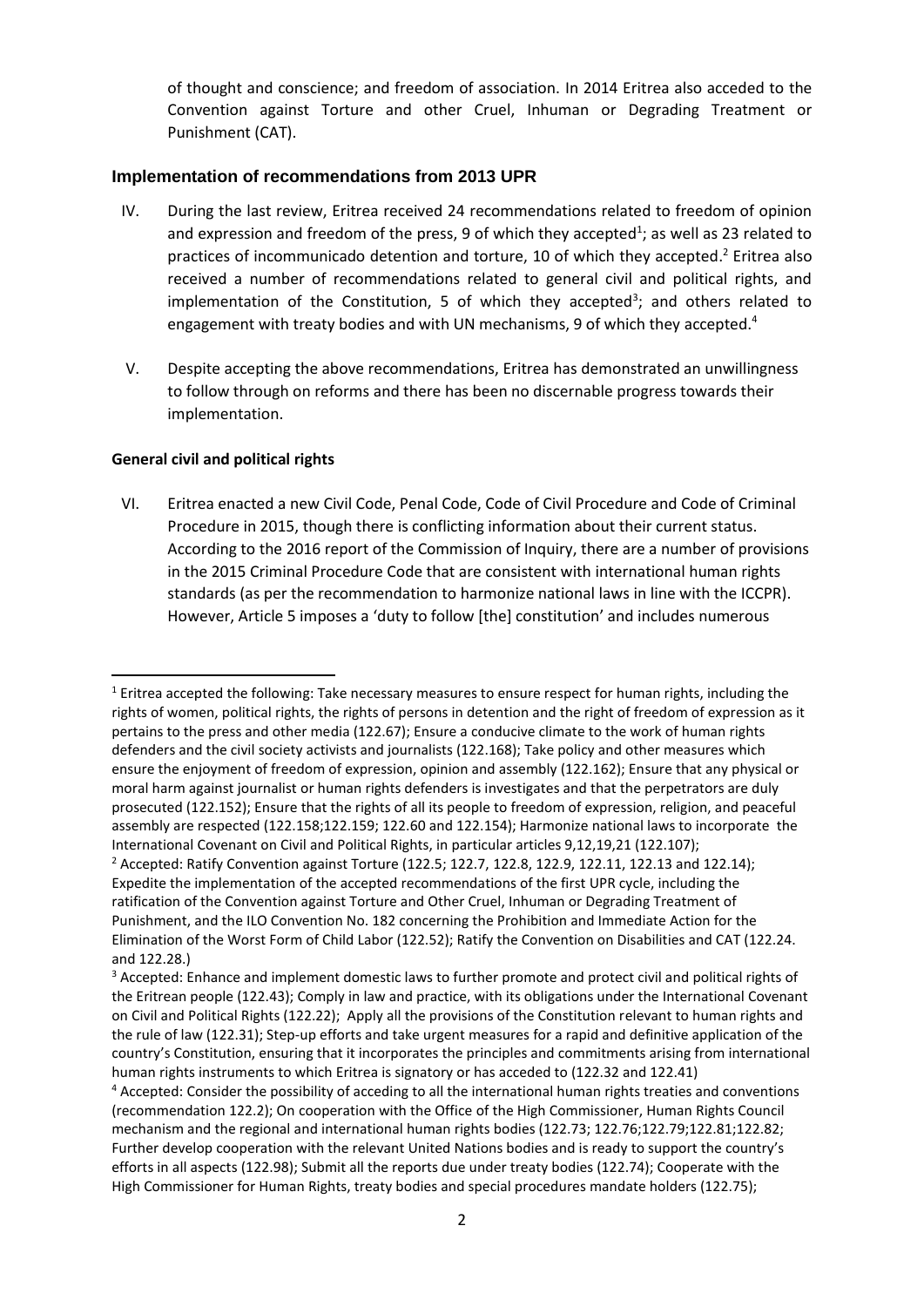of thought and conscience; and freedom of association. In 2014 Eritrea also acceded to the Convention against Torture and other Cruel, Inhuman or Degrading Treatment or Punishment (CAT).

### **Implementation of recommendations from 2013 UPR**

- IV. During the last review, Eritrea received 24 recommendations related to freedom of opinion and expression and freedom of the press, 9 of which they accepted<sup>1</sup>; as well as 23 related to practices of incommunicado detention and torture, 10 of which they accepted. <sup>2</sup> Eritrea also received a number of recommendations related to general civil and political rights, and implementation of the Constitution, 5 of which they accepted<sup>3</sup>; and others related to engagement with treaty bodies and with UN mechanisms, 9 of which they accepted.<sup>4</sup>
- V. Despite accepting the above recommendations, Eritrea has demonstrated an unwillingness to follow through on reforms and there has been no discernable progress towards their implementation.

## **General civil and political rights**

VI. Eritrea enacted a new Civil Code, Penal Code, Code of Civil Procedure and Code of Criminal Procedure in 2015, though there is conflicting information about their current status. According to the 2016 report of the Commission of Inquiry, there are a number of provisions in the 2015 Criminal Procedure Code that are consistent with international human rights standards (as per the recommendation to harmonize national laws in line with the ICCPR). However, Article 5 imposes a 'duty to follow [the] constitution' and includes numerous

<sup>1</sup>  $1$  Eritrea accepted the following: Take necessary measures to ensure respect for human rights, including the rights of women, political rights, the rights of persons in detention and the right of freedom of expression as it pertains to the press and other media (122.67); Ensure a conducive climate to the work of human rights defenders and the civil society activists and journalists (122.168); Take policy and other measures which ensure the enjoyment of freedom of expression, opinion and assembly (122.162); Ensure that any physical or moral harm against journalist or human rights defenders is investigates and that the perpetrators are duly prosecuted (122.152); Ensure that the rights of all its people to freedom of expression, religion, and peaceful assembly are respected (122.158;122.159; 122.60 and 122.154); Harmonize national laws to incorporate the International Covenant on Civil and Political Rights, in particular articles 9,12,19,21 (122.107);

<sup>&</sup>lt;sup>2</sup> Accepted: Ratify Convention against Torture (122.5; 122.7, 122.8, 122.9, 122.11, 122.13 and 122.14); Expedite the implementation of the accepted recommendations of the first UPR cycle, including the ratification of the Convention against Torture and Other Cruel, Inhuman or Degrading Treatment of Punishment, and the ILO Convention No. 182 concerning the Prohibition and Immediate Action for the Elimination of the Worst Form of Child Labor (122.52); Ratify the Convention on Disabilities and CAT (122.24. and 122.28.)

<sup>&</sup>lt;sup>3</sup> Accepted: Enhance and implement domestic laws to further promote and protect civil and political rights of the Eritrean people (122.43); Comply in law and practice, with its obligations under the International Covenant on Civil and Political Rights (122.22); Apply all the provisions of the Constitution relevant to human rights and the rule of law (122.31); Step-up efforts and take urgent measures for a rapid and definitive application of the country's Constitution, ensuring that it incorporates the principles and commitments arising from international human rights instruments to which Eritrea is signatory or has acceded to (122.32 and 122.41) <sup>4</sup> Accepted: Consider the possibility of acceding to all the international human rights treaties and conventions

<sup>(</sup>recommendation 122.2); On cooperation with the Office of the High Commissioner, Human Rights Council mechanism and the regional and international human rights bodies (122.73; 122.76;122.79;122.81;122.82; Further develop cooperation with the relevant United Nations bodies and is ready to support the country's efforts in all aspects (122.98); Submit all the reports due under treaty bodies (122.74); Cooperate with the High Commissioner for Human Rights, treaty bodies and special procedures mandate holders (122.75);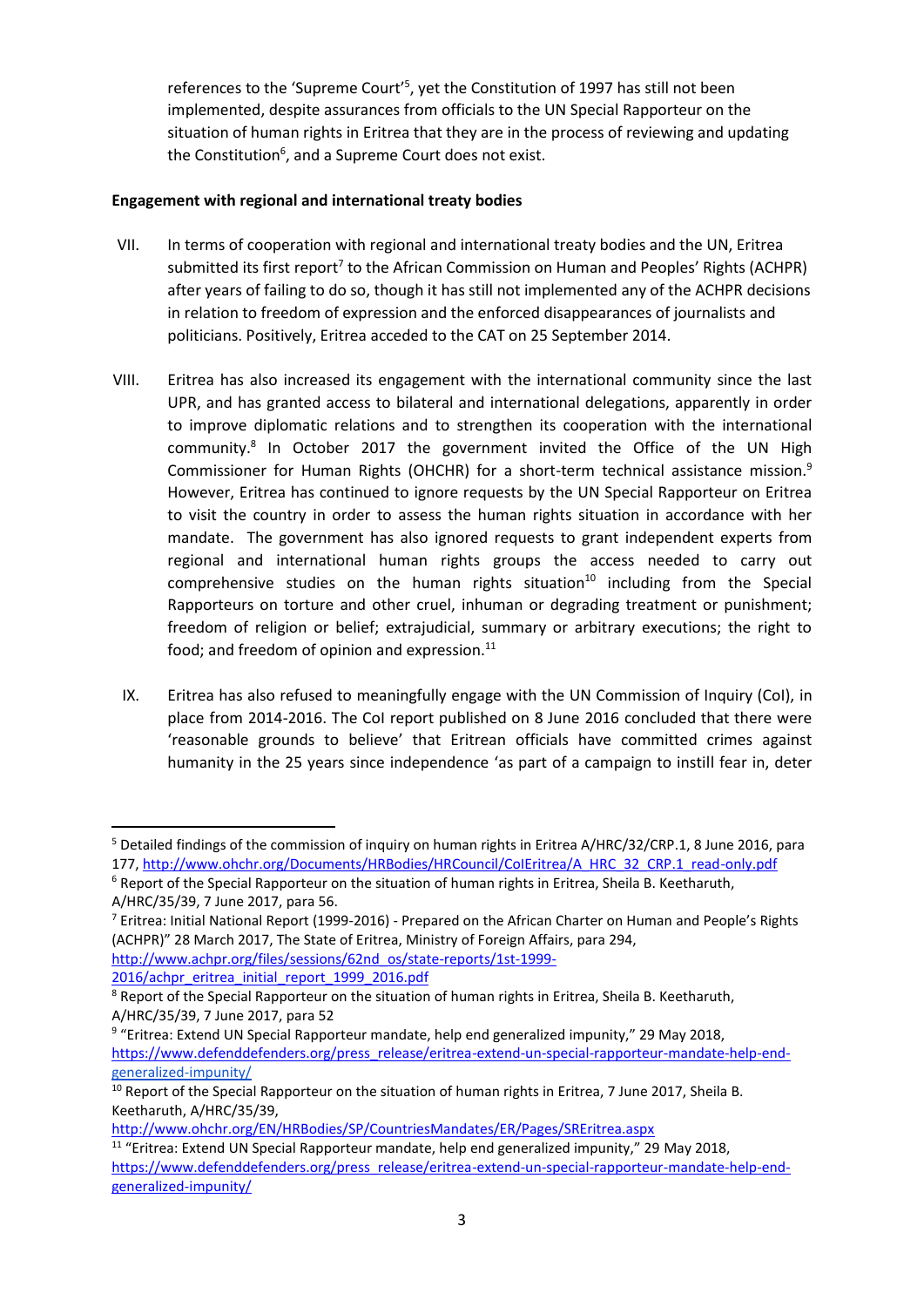references to the 'Supreme Court'<sup>5</sup>, yet the Constitution of 1997 has still not been implemented, despite assurances from officials to the UN Special Rapporteur on the situation of human rights in Eritrea that they are in the process of reviewing and updating the Constitution<sup>6</sup>, and a Supreme Court does not exist.

## **Engagement with regional and international treaty bodies**

- VII. In terms of cooperation with regional and international treaty bodies and the UN, Eritrea submitted its first report<sup>7</sup> to the African Commission on Human and Peoples' Rights (ACHPR) after years of failing to do so, though it has still not implemented any of the ACHPR decisions in relation to freedom of expression and the enforced disappearances of journalists and politicians. Positively, Eritrea acceded to the CAT on 25 September 2014.
- VIII. Eritrea has also increased its engagement with the international community since the last UPR, and has granted access to bilateral and international delegations, apparently in order to improve diplomatic relations and to strengthen its cooperation with the international community.<sup>8</sup> In October 2017 the government invited the Office of the UN High Commissioner for Human Rights (OHCHR) for a short-term technical assistance mission.<sup>9</sup> However, Eritrea has continued to ignore requests by the UN Special Rapporteur on Eritrea to visit the country in order to assess the human rights situation in accordance with her mandate. The government has also ignored requests to grant independent experts from regional and international human rights groups the access needed to carry out comprehensive studies on the human rights situation<sup>10</sup> including from the Special Rapporteurs on torture and other cruel, inhuman or degrading treatment or punishment; freedom of religion or belief; extrajudicial, summary or arbitrary executions; the right to food; and freedom of opinion and expression. $11$ 
	- IX. Eritrea has also refused to meaningfully engage with the UN Commission of Inquiry (CoI), in place from 2014-2016. The CoI report published on 8 June 2016 concluded that there were 'reasonable grounds to believe' that Eritrean officials have committed crimes against humanity in the 25 years since independence 'as part of a campaign to instill fear in, deter

[http://www.achpr.org/files/sessions/62nd\\_os/state-reports/1st-1999-](http://www.achpr.org/files/sessions/62nd_os/state-reports/1st-1999-2016/achpr_eritrea_initial_report_1999_2016.pdf) [2016/achpr\\_eritrea\\_initial\\_report\\_1999\\_2016.pdf](http://www.achpr.org/files/sessions/62nd_os/state-reports/1st-1999-2016/achpr_eritrea_initial_report_1999_2016.pdf)

**.** 

<sup>5</sup> Detailed findings of the commission of inquiry on human rights in Eritrea A/HRC/32/CRP.1, 8 June 2016, para 177, [http://www.ohchr.org/Documents/HRBodies/HRCouncil/CoIEritrea/A\\_HRC\\_32\\_CRP.1\\_read-only.pdf](http://www.ohchr.org/Documents/HRBodies/HRCouncil/CoIEritrea/A_HRC_32_CRP.1_read-only.pdf)

<sup>6</sup> Report of the Special Rapporteur on the situation of human rights in Eritrea, Sheila B. Keetharuth, A/HRC/35/39, 7 June 2017, para 56.

<sup>7</sup> Eritrea: Initial National Report (1999-2016) - Prepared on the African Charter on Human and People's Rights (ACHPR)" 28 March 2017, The State of Eritrea, Ministry of Foreign Affairs, para 294,

<sup>&</sup>lt;sup>8</sup> Report of the Special Rapporteur on the situation of human rights in Eritrea, Sheila B. Keetharuth, A/HRC/35/39, 7 June 2017, para 52

<sup>&</sup>lt;sup>9</sup> "Eritrea: Extend UN Special Rapporteur mandate, help end generalized impunity," 29 May 2018, [https://www.defenddefenders.org/press\\_release/eritrea-extend-un-special-rapporteur-mandate-help-end](https://www.defenddefenders.org/press_release/eritrea-extend-un-special-rapporteur-mandate-help-end-)generalized-impunity/

<sup>&</sup>lt;sup>10</sup> Report of the Special Rapporteur on the situation of human rights in Eritrea, 7 June 2017, Sheila B. Keetharuth, A/HRC/35/39,

<http://www.ohchr.org/EN/HRBodies/SP/CountriesMandates/ER/Pages/SREritrea.aspx>

<sup>&</sup>lt;sup>11</sup> "Eritrea: Extend UN Special Rapporteur mandate, help end generalized impunity," 29 May 2018, [https://www.defenddefenders.org/press\\_release/eritrea-extend-un-special-rapporteur-mandate-help-end](https://www.defenddefenders.org/press_release/eritrea-extend-un-special-rapporteur-mandate-help-end-generalized-impunity/)[generalized-impunity/](https://www.defenddefenders.org/press_release/eritrea-extend-un-special-rapporteur-mandate-help-end-generalized-impunity/)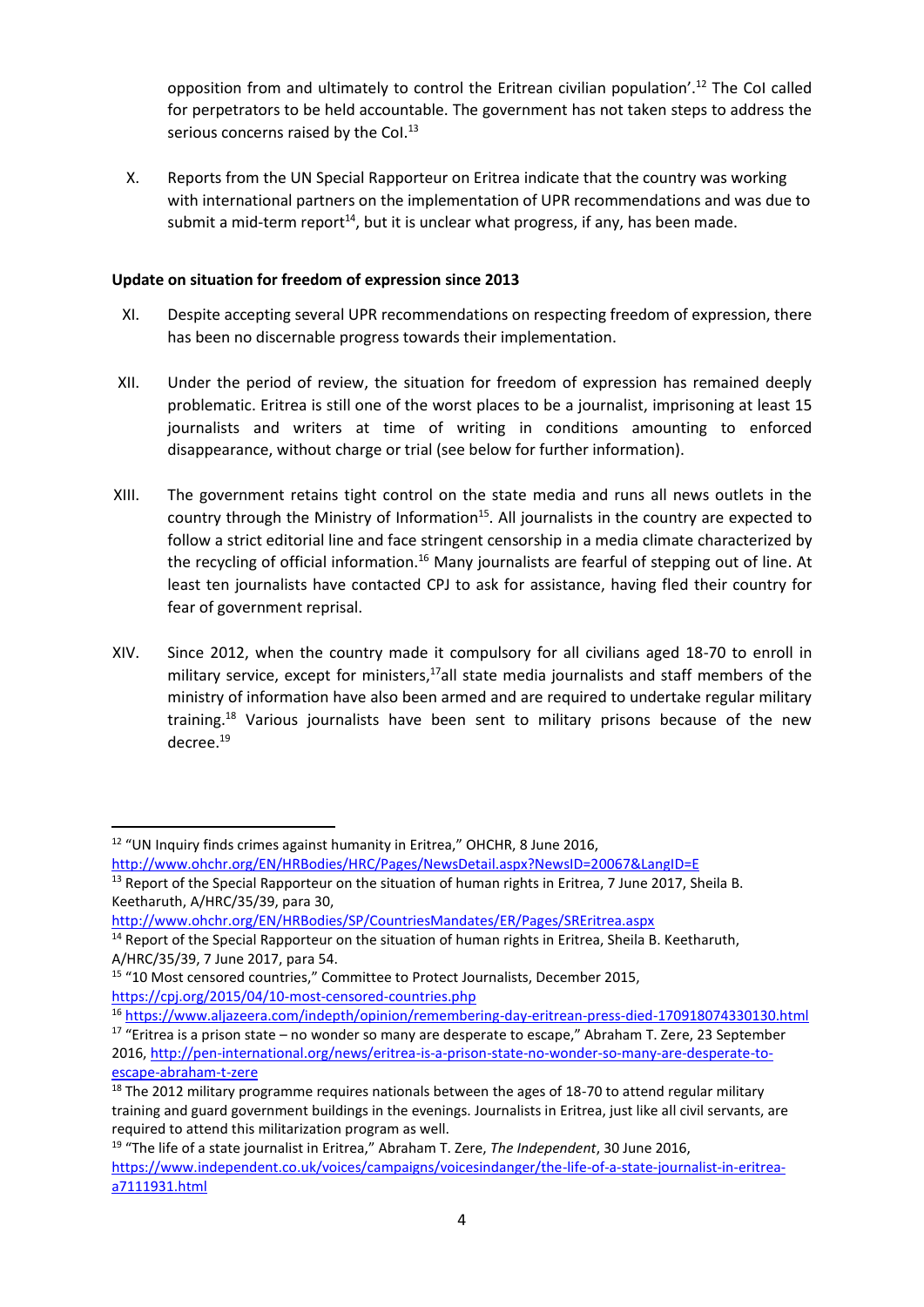opposition from and ultimately to control the Eritrean civilian population'.<sup>12</sup> The CoI called for perpetrators to be held accountable. The government has not taken steps to address the serious concerns raised by the Col.<sup>13</sup>

X. Reports from the UN Special Rapporteur on Eritrea indicate that the country was working with international partners on the implementation of UPR recommendations and was due to submit a mid-term report<sup>14</sup>, but it is unclear what progress, if any, has been made.

## **Update on situation for freedom of expression since 2013**

- XI. Despite accepting several UPR recommendations on respecting freedom of expression, there has been no discernable progress towards their implementation.
- XII. Under the period of review, the situation for freedom of expression has remained deeply problematic. Eritrea is still one of the worst places to be a journalist, imprisoning at least 15 journalists and writers at time of writing in conditions amounting to enforced disappearance, without charge or trial (see below for further information).
- XIII. The government retains tight control on the state media and runs all news outlets in the country through the Ministry of Information<sup>15</sup>. All journalists in the country are expected to follow a strict editorial line and face stringent censorship in a media climate characterized by the recycling of official information.<sup>16</sup> Many journalists are fearful of stepping out of line. At least ten journalists have contacted CPJ to ask for assistance, having fled their country for fear of government reprisal.
- XIV. Since 2012, when the country made it compulsory for all civilians aged 18-70 to enroll in military service, except for ministers,<sup>17</sup>all state media journalists and staff members of the ministry of information have also been armed and are required to undertake regular military training.<sup>18</sup> Various journalists have been sent to military prisons because of the new decree.<sup>19</sup>

<https://cpj.org/2015/04/10-most-censored-countries.php>

**<sup>.</sup>** <sup>12</sup> "UN Inquiry finds crimes against humanity in Eritrea," OHCHR, 8 June 2016, <http://www.ohchr.org/EN/HRBodies/HRC/Pages/NewsDetail.aspx?NewsID=20067&LangID=E>

<sup>&</sup>lt;sup>13</sup> Report of the Special Rapporteur on the situation of human rights in Eritrea, 7 June 2017, Sheila B. Keetharuth, A/HRC/35/39, para 30,

<http://www.ohchr.org/EN/HRBodies/SP/CountriesMandates/ER/Pages/SREritrea.aspx>

<sup>&</sup>lt;sup>14</sup> Report of the Special Rapporteur on the situation of human rights in Eritrea, Sheila B. Keetharuth, A/HRC/35/39, 7 June 2017, para 54.

<sup>15</sup> "10 Most censored countries," Committee to Protect Journalists, December 2015,

<sup>16</sup> <https://www.aljazeera.com/indepth/opinion/remembering-day-eritrean-press-died-170918074330130.html>

 $17$  "Eritrea is a prison state – no wonder so many are desperate to escape," Abraham T. Zere, 23 September 2016, [http://pen-international.org/news/eritrea-is-a-prison-state-no-wonder-so-many-are-desperate-to](http://pen-international.org/news/eritrea-is-a-prison-state-no-wonder-so-many-are-desperate-to-escape-abraham-t-zere)[escape-abraham-t-zere](http://pen-international.org/news/eritrea-is-a-prison-state-no-wonder-so-many-are-desperate-to-escape-abraham-t-zere)

 $18$  The 2012 military programme requires nationals between the ages of 18-70 to attend regular military training and guard government buildings in the evenings. Journalists in Eritrea, just like all civil servants, are required to attend this militarization program as well.

<sup>19</sup> "The life of a state journalist in Eritrea," Abraham T. Zere, *The Independent*, 30 June 2016, [https://www.independent.co.uk/voices/campaigns/voicesindanger/the-life-of-a-state-journalist-in-eritrea](https://www.independent.co.uk/voices/campaigns/voicesindanger/the-life-of-a-state-journalist-in-eritrea-a7111931.html)[a7111931.html](https://www.independent.co.uk/voices/campaigns/voicesindanger/the-life-of-a-state-journalist-in-eritrea-a7111931.html)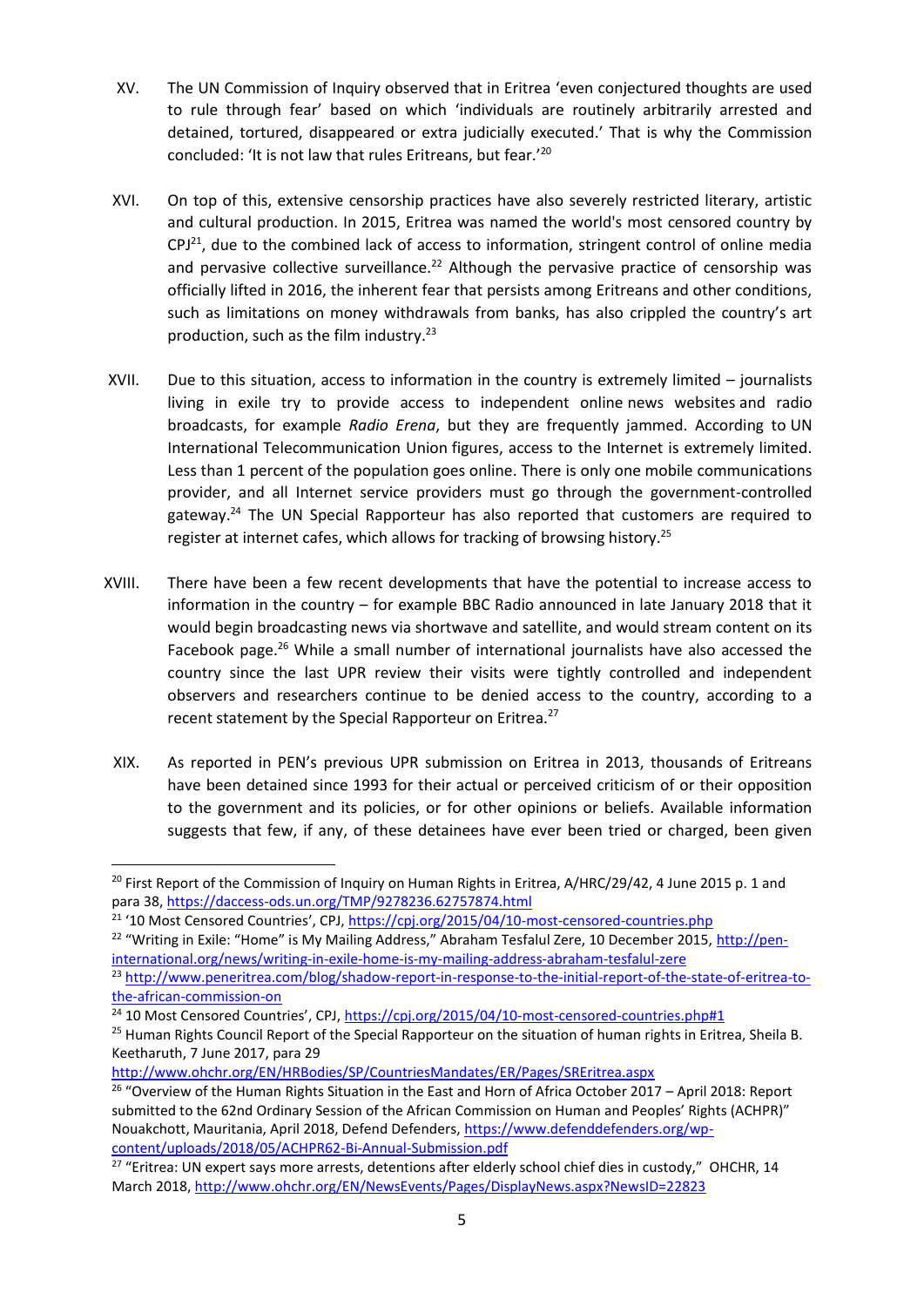- XV. The UN Commission of Inquiry observed that in Eritrea 'even conjectured thoughts are used to rule through fear' based on which 'individuals are routinely arbitrarily arrested and detained, tortured, disappeared or extra judicially executed.' That is why the Commission concluded: 'It is not law that rules Eritreans, but fear.' 20
- XVI. On top of this, extensive censorship practices have also severely restricted literary, artistic and cultural production. In 2015, Eritrea was named the world's most censored country by  $CPJ<sup>21</sup>$ , due to the combined lack of access to information, stringent control of online media and pervasive collective surveillance.<sup>22</sup> Although the pervasive practice of censorship was officially lifted in 2016, the inherent fear that persists among Eritreans and other conditions, such as limitations on money withdrawals from banks, has also crippled the country's art production, such as the film industry. $^{23}$
- XVII. Due to this situation, access to information in the country is extremely limited journalists living in exile try to provide access to independent online news websites and radio broadcasts, for example *Radio Erena*, but they are frequently jammed. According to UN International Telecommunication Union figures, access to the Internet is extremely limited. Less than 1 percent of the population goes online. There is only one mobile communications provider, and all Internet service providers must go through the government-controlled gateway.<sup>24</sup> The UN Special Rapporteur has also reported that customers are required to register at internet cafes, which allows for tracking of browsing history.<sup>25</sup>
- XVIII. There have been a few recent developments that have the potential to increase access to information in the country – for example BBC Radio announced in late January 2018 that it would begin broadcasting news via shortwave and satellite, and would stream content on its Facebook page.<sup>26</sup> While a small number of international journalists have also accessed the country since the last UPR review their visits were tightly controlled and independent observers and researchers continue to be denied access to the country, according to a recent statement by the Special Rapporteur on Eritrea.<sup>27</sup>
- XIX. As reported in PEN's previous UPR submission on Eritrea in 2013, thousands of Eritreans have been detained since 1993 for their actual or perceived criticism of or their opposition to the government and its policies, or for other opinions or beliefs. Available information suggests that few, if any, of these detainees have ever been tried or charged, been given

1

<sup>&</sup>lt;sup>20</sup> First Report of the Commission of Inquiry on Human Rights in Eritrea, A/HRC/29/42, 4 June 2015 p. 1 and para 38[, https://daccess-ods.un.org/TMP/9278236.62757874.html](https://daccess-ods.un.org/TMP/9278236.62757874.html)

<sup>&</sup>lt;sup>21</sup> '10 Most Censored Countries', CPJ, <https://cpj.org/2015/04/10-most-censored-countries.php>

<sup>&</sup>lt;sup>22</sup> "Writing in Exile: "Home" is My Mailing Address," Abraham Tesfalul Zere, 10 December 2015, [http://pen](http://pen-international.org/news/writing-in-exile-home-is-my-mailing-address-abraham-tesfalul-zere)[international.org/news/writing-in-exile-home-is-my-mailing-address-abraham-tesfalul-zere](http://pen-international.org/news/writing-in-exile-home-is-my-mailing-address-abraham-tesfalul-zere)

<sup>23</sup> [http://www.peneritrea.com/blog/shadow-report-in-response-to-the-initial-report-of-the-state-of-eritrea-to](http://www.peneritrea.com/blog/shadow-report-in-response-to-the-initial-report-of-the-state-of-eritrea-to-the-african-commission-on)[the-african-commission-on](http://www.peneritrea.com/blog/shadow-report-in-response-to-the-initial-report-of-the-state-of-eritrea-to-the-african-commission-on)

 $24$  10 Most Censored Countries', CPJ, <https://cpj.org/2015/04/10-most-censored-countries.php#1>

<sup>&</sup>lt;sup>25</sup> Human Rights Council Report of the Special Rapporteur on the situation of human rights in Eritrea, Sheila B. Keetharuth, 7 June 2017, para 29

<http://www.ohchr.org/EN/HRBodies/SP/CountriesMandates/ER/Pages/SREritrea.aspx>

<sup>&</sup>lt;sup>26</sup> "Overview of the Human Rights Situation in the East and Horn of Africa October 2017 - April 2018: Report submitted to the 62nd Ordinary Session of the African Commission on Human and Peoples' Rights (ACHPR)" Nouakchott, Mauritania, April 2018, Defend Defenders, [https://www.defenddefenders.org/wp](https://www.defenddefenders.org/wp-content/uploads/2018/05/ACHPR62-Bi-Annual-Submission.pdf)[content/uploads/2018/05/ACHPR62-Bi-Annual-Submission.pdf](https://www.defenddefenders.org/wp-content/uploads/2018/05/ACHPR62-Bi-Annual-Submission.pdf)

<sup>&</sup>lt;sup>27</sup> "Eritrea: UN expert says more arrests, detentions after elderly school chief dies in custody," OHCHR, 14 March 2018[, http://www.ohchr.org/EN/NewsEvents/Pages/DisplayNews.aspx?NewsID=22823](http://www.ohchr.org/EN/NewsEvents/Pages/DisplayNews.aspx?NewsID=22823)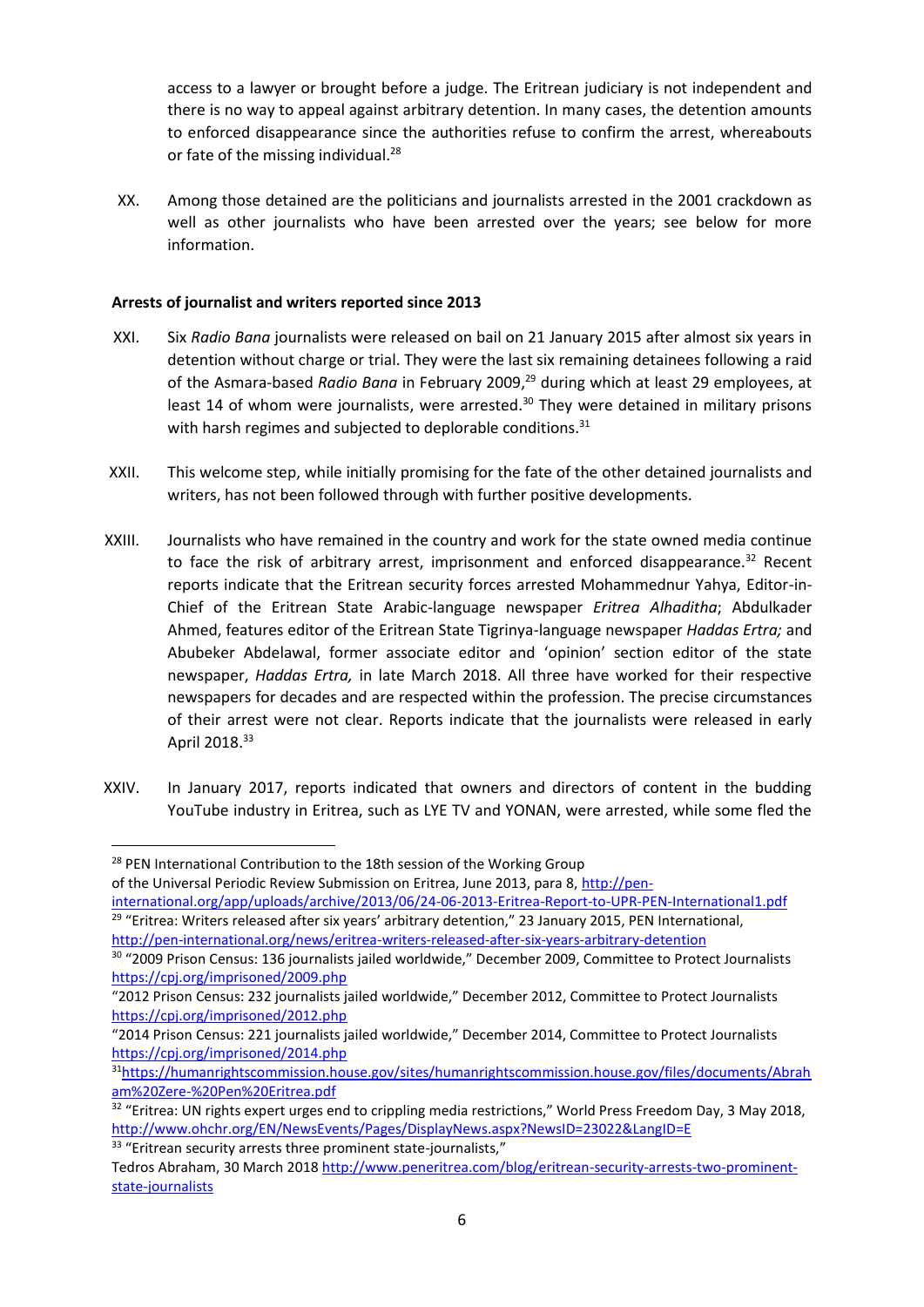access to a lawyer or brought before a judge. The Eritrean judiciary is not independent and there is no way to appeal against arbitrary detention. In many cases, the detention amounts to enforced disappearance since the authorities refuse to confirm the arrest, whereabouts or fate of the missing individual.<sup>28</sup>

XX. Among those detained are the politicians and journalists arrested in the 2001 crackdown as well as other journalists who have been arrested over the years; see below for more information.

### **Arrests of journalist and writers reported since 2013**

- XXI. Six *Radio Bana* journalists were released on bail on 21 January 2015 after almost six years in detention without charge or trial. They were the last six remaining detainees following a raid of the Asmara-based *Radio Bana* in February 2009, <sup>29</sup> during which at least 29 employees, at least 14 of whom were journalists, were arrested.<sup>30</sup> They were detained in military prisons with harsh regimes and subjected to deplorable conditions.<sup>31</sup>
- XXII. This welcome step, while initially promising for the fate of the other detained journalists and writers, has not been followed through with further positive developments.
- XXIII. Journalists who have remained in the country and work for the state owned media continue to face the risk of arbitrary arrest, imprisonment and enforced disappearance. $32$  Recent reports indicate that the Eritrean security forces arrested Mohammednur Yahya, Editor-in-Chief of the Eritrean State Arabic-language newspaper *Eritrea Alhaditha*; Abdulkader Ahmed, features editor of the Eritrean State Tigrinya-language newspaper *Haddas Ertra;* and Abubeker Abdelawal, former associate editor and 'opinion' section editor of the state newspaper, *Haddas Ertra,* in late March 2018. All three have worked for their respective newspapers for decades and are respected within the profession. The precise circumstances of their arrest were not clear. Reports indicate that the journalists were released in early April 2018.<sup>33</sup>
- XXIV. In January 2017, reports indicated that owners and directors of content in the budding YouTube industry in Eritrea, such as LYE TV and YONAN, were arrested, while some fled the

 $\overline{a}$ 

<sup>&</sup>lt;sup>28</sup> PEN International Contribution to the 18th session of the Working Group

of the Universal Periodic Review Submission on Eritrea, June 2013, para 8, [http://pen-](http://pen-international.org/app/uploads/archive/2013/06/24-06-2013-Eritrea-Report-to-UPR-PEN-International1.pdf)

[international.org/app/uploads/archive/2013/06/24-06-2013-Eritrea-Report-to-UPR-PEN-International1.pdf](http://pen-international.org/app/uploads/archive/2013/06/24-06-2013-Eritrea-Report-to-UPR-PEN-International1.pdf) <sup>29</sup> "Eritrea: Writers released after six years' arbitrary detention," 23 January 2015, PEN International, <http://pen-international.org/news/eritrea-writers-released-after-six-years-arbitrary-detention>

<sup>30</sup> "2009 Prison Census: 136 journalists jailed worldwide," December 2009, Committee to Protect Journalists <https://cpj.org/imprisoned/2009.php>

<sup>&</sup>quot;2012 Prison Census: 232 journalists jailed worldwide," December 2012, Committee to Protect Journalists <https://cpj.org/imprisoned/2012.php>

<sup>&</sup>quot;2014 Prison Census: 221 journalists jailed worldwide," December 2014, Committee to Protect Journalists <https://cpj.org/imprisoned/2014.php>

<sup>31</sup>[https://humanrightscommission.house.gov/sites/humanrightscommission.house.gov/files/documents/Abrah](https://humanrightscommission.house.gov/sites/humanrightscommission.house.gov/files/documents/Abraham%20Zere-%20Pen%20Eritrea.pdf) [am%20Zere-%20Pen%20Eritrea.pdf](https://humanrightscommission.house.gov/sites/humanrightscommission.house.gov/files/documents/Abraham%20Zere-%20Pen%20Eritrea.pdf)

<sup>&</sup>lt;sup>32</sup> "Eritrea: UN rights expert urges end to crippling media restrictions," World Press Freedom Day, 3 May 2018, <http://www.ohchr.org/EN/NewsEvents/Pages/DisplayNews.aspx?NewsID=23022&LangID=E>

<sup>&</sup>lt;sup>33</sup> "Eritrean security arrests three prominent state-journalists,"

Tedros Abraham, 30 March 201[8 http://www.peneritrea.com/blog/eritrean-security-arrests-two-prominent](http://www.peneritrea.com/blog/eritrean-security-arrests-two-prominent-state-journalists)[state-journalists](http://www.peneritrea.com/blog/eritrean-security-arrests-two-prominent-state-journalists)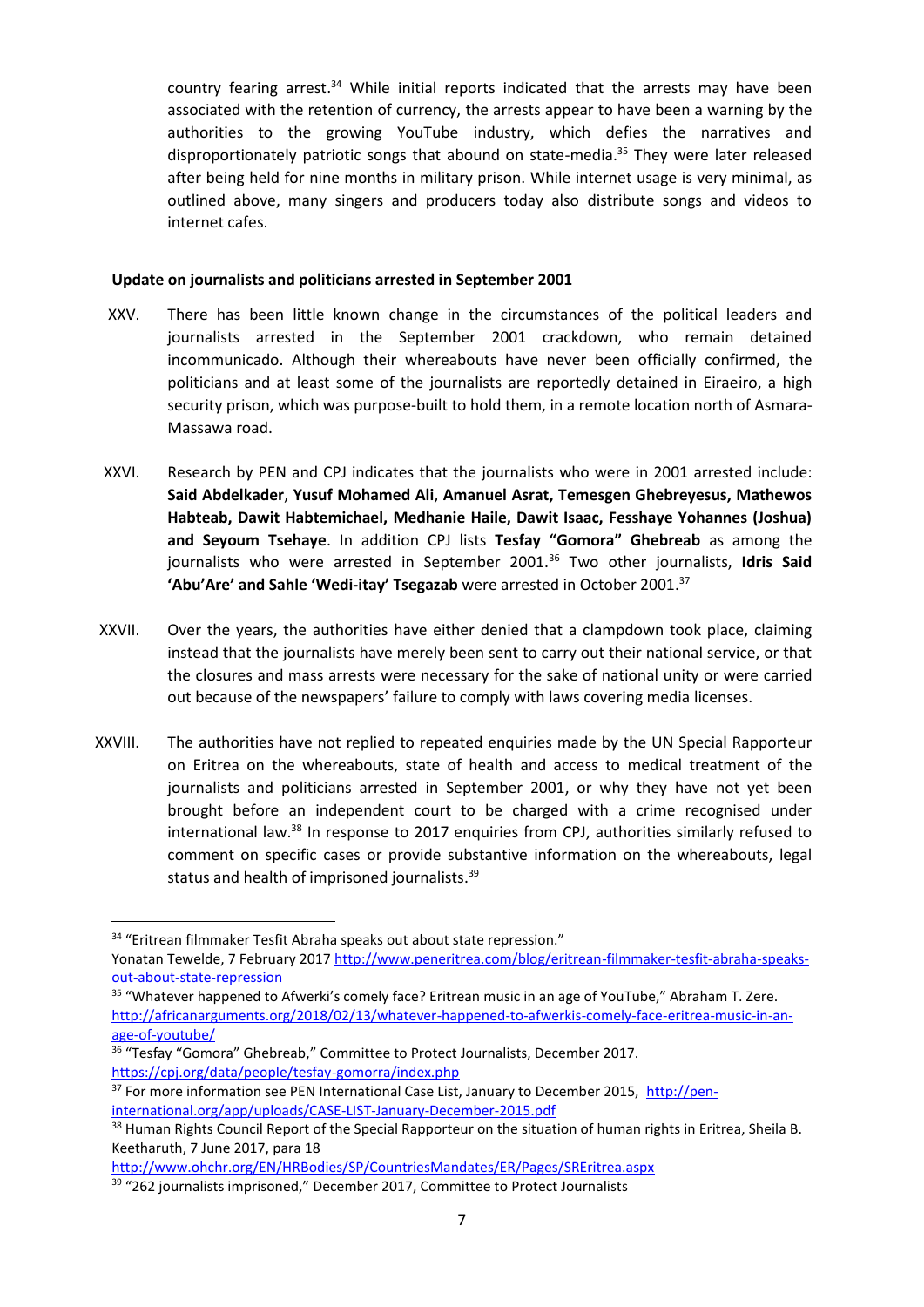country fearing arrest.<sup>34</sup> While initial reports indicated that the arrests may have been associated with the retention of currency, the arrests appear to have been a warning by the authorities to the growing YouTube industry, which defies the narratives and disproportionately patriotic songs that abound on state-media. <sup>35</sup> They were later released after being held for nine months in military prison. While internet usage is very minimal, as outlined above, many singers and producers today also distribute songs and videos to internet cafes.

### **Update on journalists and politicians arrested in September 2001**

- XXV. There has been little known change in the circumstances of the political leaders and journalists arrested in the September 2001 crackdown, who remain detained incommunicado. Although their whereabouts have never been officially confirmed, the politicians and at least some of the journalists are reportedly detained in Eiraeiro, a high security prison, which was purpose-built to hold them, in a remote location north of Asmara-Massawa road.
- XXVI. Research by PEN and CPJ indicates that the journalists who were in 2001 arrested include: **Said Abdelkader**, **Yusuf Mohamed Ali**, **Amanuel Asrat, Temesgen Ghebreyesus, Mathewos Habteab, Dawit Habtemichael, Medhanie Haile, Dawit Isaac, Fesshaye Yohannes (Joshua) and Seyoum Tsehaye**. In addition CPJ lists **Tesfay "Gomora" Ghebreab** as among the journalists who were arrested in September 2001.<sup>36</sup> Two other journalists, **Idris Said 'Abu'Are' and Sahle 'Wedi-itay' Tsegazab** were arrested in October 2001.<sup>37</sup>
- XXVII. Over the years, the authorities have either denied that a clampdown took place, claiming instead that the journalists have merely been sent to carry out their national service, or that the closures and mass arrests were necessary for the sake of national unity or were carried out because of the newspapers' failure to comply with laws covering media licenses.
- XXVIII. The authorities have not replied to repeated enquiries made by the UN Special Rapporteur on Eritrea on the whereabouts, state of health and access to medical treatment of the journalists and politicians arrested in September 2001, or why they have not yet been brought before an independent court to be charged with a crime recognised under international law.<sup>38</sup> In response to 2017 enquiries from CPJ, authorities similarly refused to comment on specific cases or provide substantive information on the whereabouts, legal status and health of imprisoned journalists.<sup>39</sup>

**.** 

<http://www.ohchr.org/EN/HRBodies/SP/CountriesMandates/ER/Pages/SREritrea.aspx>

<sup>&</sup>lt;sup>34</sup> "Eritrean filmmaker Tesfit Abraha speaks out about state repression." Yonatan Tewelde, 7 February 201[7 http://www.peneritrea.com/blog/eritrean-filmmaker-tesfit-abraha-speaks-](http://www.peneritrea.com/blog/eritrean-filmmaker-tesfit-abraha-speaks-out-about-state-repression)

[out-about-state-repression](http://www.peneritrea.com/blog/eritrean-filmmaker-tesfit-abraha-speaks-out-about-state-repression) 

<sup>&</sup>lt;sup>35</sup> "Whatever happened to Afwerki's comely face? Eritrean music in an age of YouTube," Abraham T. Zere. [http://africanarguments.org/2018/02/13/whatever-happened-to-afwerkis-comely-face-eritrea-music-in-an](http://africanarguments.org/2018/02/13/whatever-happened-to-afwerkis-comely-face-eritrea-music-in-an-age-of-youtube/)[age-of-youtube/](http://africanarguments.org/2018/02/13/whatever-happened-to-afwerkis-comely-face-eritrea-music-in-an-age-of-youtube/)

<sup>&</sup>lt;sup>36</sup> "Tesfay "Gomora" Ghebreab," Committee to Protect Journalists, December 2017. <https://cpj.org/data/people/tesfay-gomorra/index.php>

<sup>&</sup>lt;sup>37</sup> For more information see PEN International Case List, January to December 2015, [http://pen](http://pen-international.org/app/uploads/CASE-LIST-January-December-2015.pdf)[international.org/app/uploads/CASE-LIST-January-December-2015.pdf](http://pen-international.org/app/uploads/CASE-LIST-January-December-2015.pdf)

<sup>&</sup>lt;sup>38</sup> Human Rights Council Report of the Special Rapporteur on the situation of human rights in Eritrea, Sheila B. Keetharuth, 7 June 2017, para 18

<sup>&</sup>lt;sup>39</sup> "262 journalists imprisoned," December 2017, Committee to Protect Journalists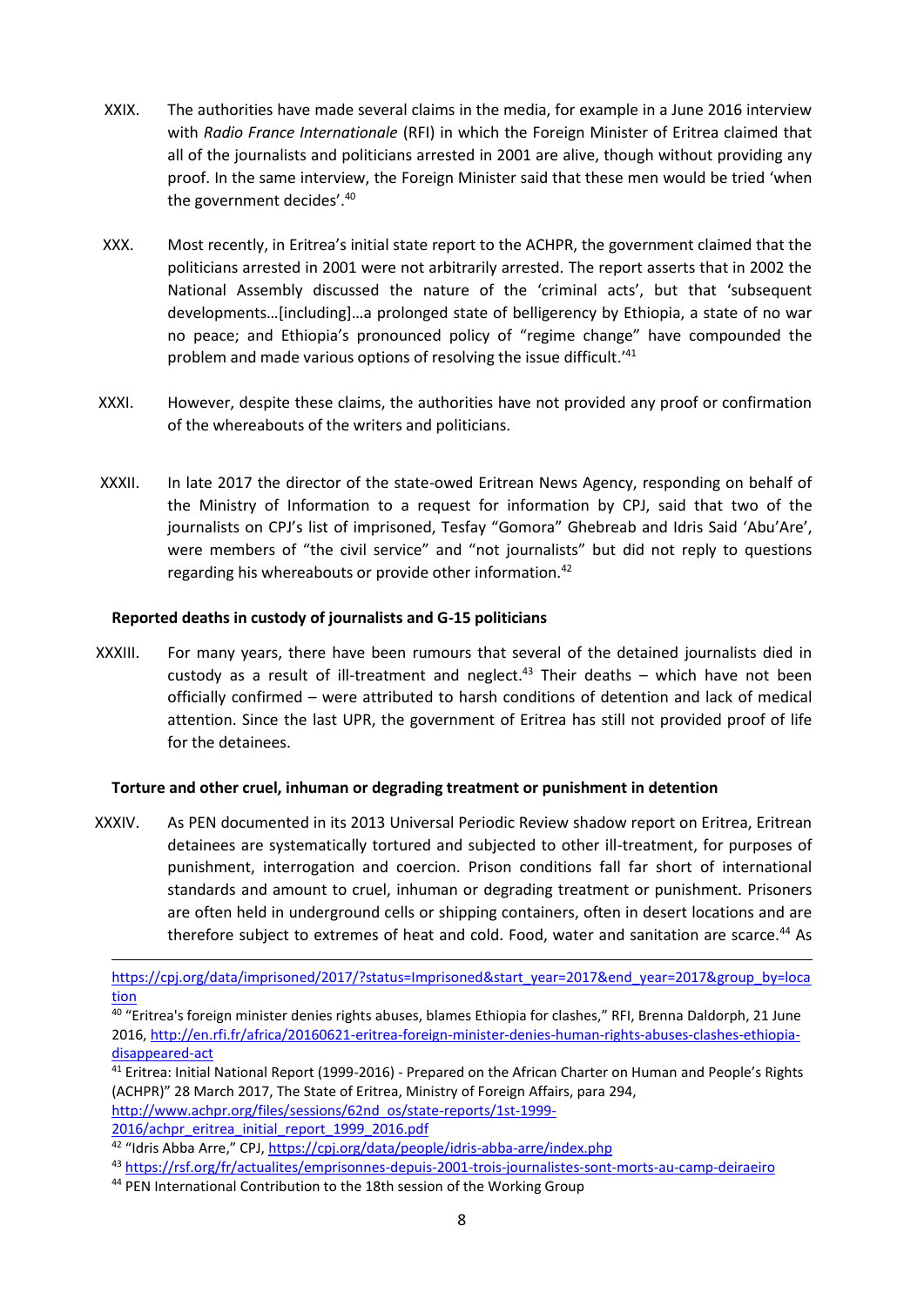- XXIX. The authorities have made several claims in the media, for example in a June 2016 interview with *Radio France Internationale* (RFI) in which the Foreign Minister of Eritrea claimed that all of the journalists and politicians arrested in 2001 are alive, though without providing any proof. In the same interview, the Foreign Minister said that these men would be tried 'when the government decides'.<sup>40</sup>
- XXX. Most recently, in Eritrea's initial state report to the ACHPR, the government claimed that the politicians arrested in 2001 were not arbitrarily arrested. The report asserts that in 2002 the National Assembly discussed the nature of the 'criminal acts', but that 'subsequent developments…[including]…a prolonged state of belligerency by Ethiopia, a state of no war no peace; and Ethiopia's pronounced policy of "regime change" have compounded the problem and made various options of resolving the issue difficult.<sup>'41</sup>
- XXXI. However, despite these claims, the authorities have not provided any proof or confirmation of the whereabouts of the writers and politicians.
- XXXII. In late 2017 the director of the state-owed Eritrean News Agency, responding on behalf of the Ministry of Information to a request for information by CPJ, said that two of the journalists on CPJ's list of imprisoned, Tesfay "Gomora" Ghebreab and Idris Said 'Abu'Are', were members of "the civil service" and "not journalists" but did not reply to questions regarding his whereabouts or provide other information.<sup>42</sup>

### **Reported deaths in custody of journalists and G-15 politicians**

XXXIII. For many years, there have been rumours that several of the detained journalists died in custody as a result of ill-treatment and neglect.<sup>43</sup> Their deaths – which have not been officially confirmed – were attributed to harsh conditions of detention and lack of medical attention. Since the last UPR, the government of Eritrea has still not provided proof of life for the detainees.

### **Torture and other cruel, inhuman or degrading treatment or punishment in detention**

XXXIV. As PEN documented in its 2013 Universal Periodic Review shadow report on Eritrea, Eritrean detainees are systematically tortured and subjected to other ill-treatment, for purposes of punishment, interrogation and coercion. Prison conditions fall far short of international standards and amount to cruel, inhuman or degrading treatment or punishment. Prisoners are often held in underground cells or shipping containers, often in desert locations and are therefore subject to extremes of heat and cold. Food, water and sanitation are scarce.<sup>44</sup> As

[http://www.achpr.org/files/sessions/62nd\\_os/state-reports/1st-1999-](http://www.achpr.org/files/sessions/62nd_os/state-reports/1st-1999-%202016/achpr_eritrea_initial_report_1999_2016.pdf)

[2016/achpr\\_eritrea\\_initial\\_report\\_1999\\_2016.pdf](http://www.achpr.org/files/sessions/62nd_os/state-reports/1st-1999-%202016/achpr_eritrea_initial_report_1999_2016.pdf)

<sup>43</sup> <https://rsf.org/fr/actualites/emprisonnes-depuis-2001-trois-journalistes-sont-morts-au-camp-deiraeiro>

**<sup>.</sup>** [https://cpj.org/data/imprisoned/2017/?status=Imprisoned&start\\_year=2017&end\\_year=2017&group\\_by=loca](https://cpj.org/data/imprisoned/2017/?status=Imprisoned&start_year=2017&end_year=2017&group_by=location) [tion](https://cpj.org/data/imprisoned/2017/?status=Imprisoned&start_year=2017&end_year=2017&group_by=location)

<sup>40</sup> "Eritrea's foreign minister denies rights abuses, blames Ethiopia for clashes," RFI, Brenna Daldorph, 21 June 2016, [http://en.rfi.fr/africa/20160621-eritrea-foreign-minister-denies-human-rights-abuses-clashes-ethiopia](http://en.rfi.fr/africa/20160621-eritrea-foreign-minister-denies-human-rights-abuses-clashes-ethiopia-disappeared-act)[disappeared-act](http://en.rfi.fr/africa/20160621-eritrea-foreign-minister-denies-human-rights-abuses-clashes-ethiopia-disappeared-act)

<sup>&</sup>lt;sup>41</sup> Eritrea: Initial National Report (1999-2016) - Prepared on the African Charter on Human and People's Rights (ACHPR)" 28 March 2017, The State of Eritrea, Ministry of Foreign Affairs, para 294,

<sup>&</sup>lt;sup>42</sup> "Idris Abba Arre," CPJ, <https://cpj.org/data/people/idris-abba-arre/index.php>

<sup>&</sup>lt;sup>44</sup> PEN International Contribution to the 18th session of the Working Group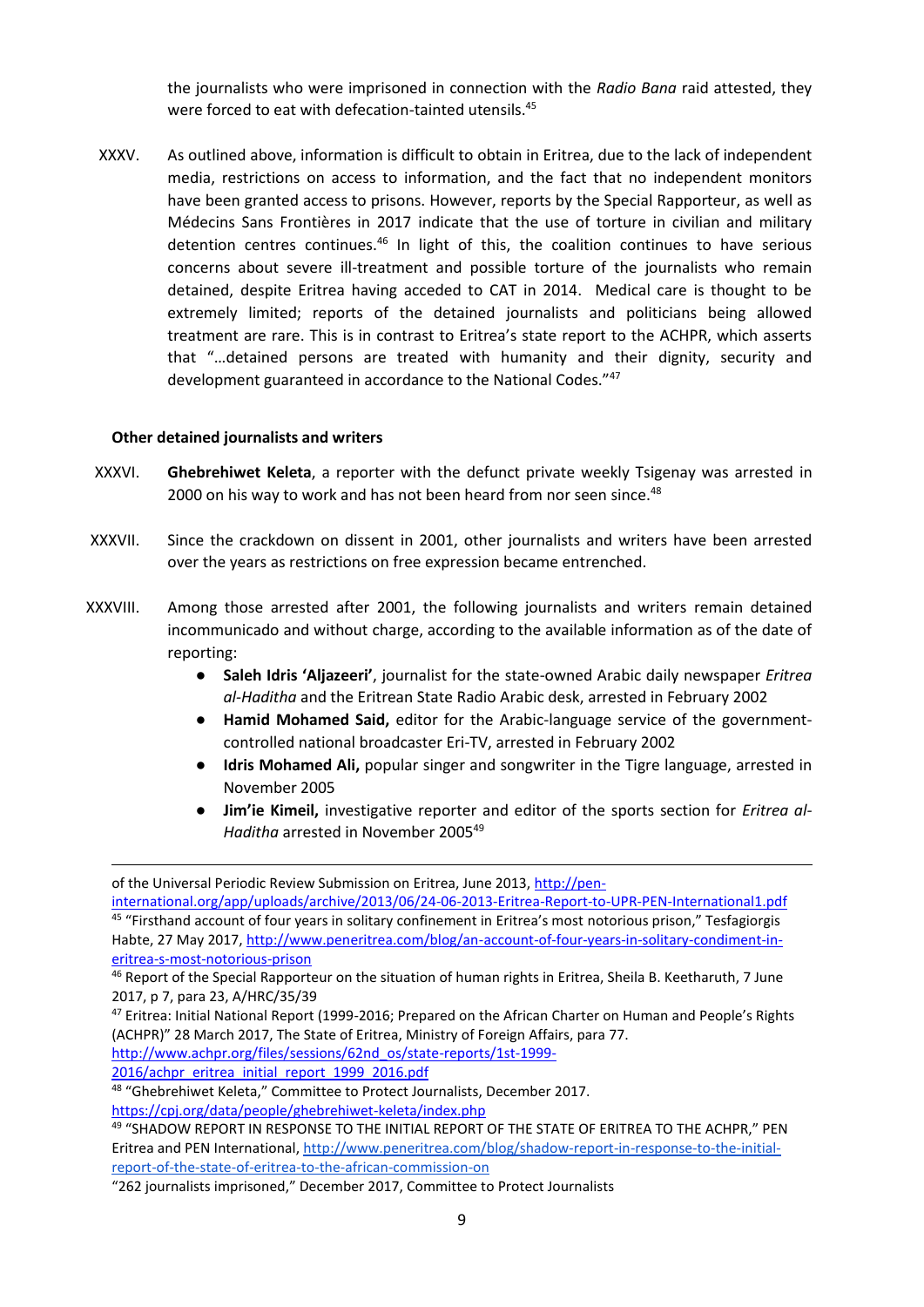the journalists who were imprisoned in connection with the *Radio Bana* raid attested, they were forced to eat with defecation-tainted utensils.<sup>45</sup>

XXXV. As outlined above, information is difficult to obtain in Eritrea, due to the lack of independent media, restrictions on access to information, and the fact that no independent monitors have been granted access to prisons. However, reports by the Special Rapporteur, as well as Médecins Sans Frontières in 2017 indicate that the use of torture in civilian and military detention centres continues.<sup>46</sup> In light of this, the coalition continues to have serious concerns about severe ill-treatment and possible torture of the journalists who remain detained, despite Eritrea having acceded to CAT in 2014. Medical care is thought to be extremely limited; reports of the detained journalists and politicians being allowed treatment are rare. This is in contrast to Eritrea's state report to the ACHPR, which asserts that "…detained persons are treated with humanity and their dignity, security and development guaranteed in accordance to the National Codes."<sup>47</sup>

#### **Other detained journalists and writers**

- XXXVI. **Ghebrehiwet Keleta**, a reporter with the defunct private weekly Tsigenay was arrested in 2000 on his way to work and has not been heard from nor seen since.<sup>48</sup>
- XXXVII. Since the crackdown on dissent in 2001, other journalists and writers have been arrested over the years as restrictions on free expression became entrenched.
- XXXVIII. Among those arrested after 2001, the following journalists and writers remain detained incommunicado and without charge, according to the available information as of the date of reporting:
	- **Saleh Idris 'Aljazeeri'**, journalist for the state-owned Arabic daily newspaper *Eritrea al-Haditha* and the Eritrean State Radio Arabic desk, arrested in February 2002
	- **Hamid Mohamed Said,** editor for the Arabic-language service of the governmentcontrolled national broadcaster Eri-TV, arrested in February 2002
	- **Idris Mohamed Ali,** popular singer and songwriter in the Tigre language, arrested in November 2005
	- **Jim'ie Kimeil,** investigative reporter and editor of the sports section for *Eritrea al-Haditha* arrested in November 2005<sup>49</sup>

[http://www.achpr.org/files/sessions/62nd\\_os/state-reports/1st-1999-](http://www.achpr.org/files/sessions/62nd_os/state-reports/1st-1999-2016/achpr_eritrea_initial_report_1999_2016.pdf)

[2016/achpr\\_eritrea\\_initial\\_report\\_1999\\_2016.pdf](http://www.achpr.org/files/sessions/62nd_os/state-reports/1st-1999-2016/achpr_eritrea_initial_report_1999_2016.pdf)

1

of the Universal Periodic Review Submission on Eritrea, June 2013, [http://pen-](http://pen-international.org/app/uploads/archive/2013/06/24-06-2013-Eritrea-Report-to-UPR-PEN-International1.pdf)

[international.org/app/uploads/archive/2013/06/24-06-2013-Eritrea-Report-to-UPR-PEN-International1.pdf](http://pen-international.org/app/uploads/archive/2013/06/24-06-2013-Eritrea-Report-to-UPR-PEN-International1.pdf) <sup>45</sup> "Firsthand account of four years in solitary confinement in Eritrea's most notorious prison," Tesfagiorgis Habte, 27 May 2017, [http://www.peneritrea.com/blog/an-account-of-four-years-in-solitary-condiment-in](http://www.peneritrea.com/blog/an-account-of-four-years-in-solitary-condiment-in-eritrea-s-most-notorious-prison)[eritrea-s-most-notorious-prison](http://www.peneritrea.com/blog/an-account-of-four-years-in-solitary-condiment-in-eritrea-s-most-notorious-prison)

<sup>46</sup> Report of the Special Rapporteur on the situation of human rights in Eritrea, Sheila B. Keetharuth, 7 June 2017, p 7, para 23, A/HRC/35/39

<sup>47</sup> Eritrea: Initial National Report (1999-2016; Prepared on the African Charter on Human and People's Rights (ACHPR)" 28 March 2017, The State of Eritrea, Ministry of Foreign Affairs, para 77.

<sup>48</sup> "Ghebrehiwet Keleta," Committee to Protect Journalists, December 2017. <https://cpj.org/data/people/ghebrehiwet-keleta/index.php>

<sup>49 &</sup>quot;SHADOW REPORT IN RESPONSE TO THE INITIAL REPORT OF THE STATE OF ERITREA TO THE ACHPR," PEN Eritrea and PEN International[, http://www.peneritrea.com/blog/shadow-report-in-response-to-the-initial](http://www.peneritrea.com/blog/shadow-report-in-response-to-the-initial-report-of-the-state-of-eritrea-to-the-african-commission-on)[report-of-the-state-of-eritrea-to-the-african-commission-on](http://www.peneritrea.com/blog/shadow-report-in-response-to-the-initial-report-of-the-state-of-eritrea-to-the-african-commission-on)

<sup>&</sup>quot;262 journalists imprisoned," December 2017, Committee to Protect Journalists